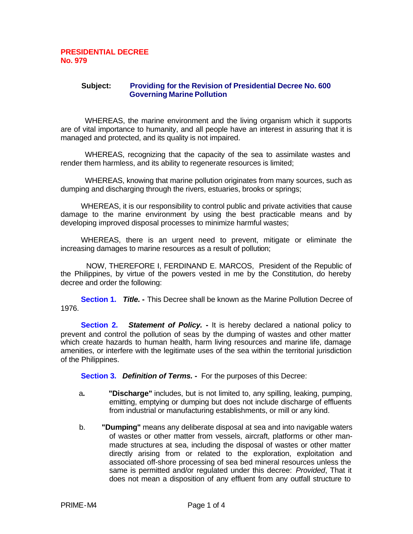## **PRESIDENTIAL DECREE No. 979**

## **Subject: Providing for the Revision of Presidential Decree No. 600 Governing Marine Pollution**

WHEREAS, the marine environment and the living organism which it supports are of vital importance to humanity, and all people have an interest in assuring that it is managed and protected, and its quality is not impaired.

WHEREAS, recognizing that the capacity of the sea to assimilate wastes and render them harmless, and its ability to regenerate resources is limited;

WHEREAS, knowing that marine pollution originates from many sources, such as dumping and discharging through the rivers, estuaries, brooks or springs;

 WHEREAS, it is our responsibility to control public and private activities that cause damage to the marine environment by using the best practicable means and by developing improved disposal processes to minimize harmful wastes;

 WHEREAS, there is an urgent need to prevent, mitigate or eliminate the increasing damages to marine resources as a result of pollution;

 NOW, THEREFORE I, FERDINAND E. MARCOS, President of the Republic of the Philippines, by virtue of the powers vested in me by the Constitution, do hereby decree and order the following:

 **Section 1.** *Title.* **-** This Decree shall be known as the Marine Pollution Decree of 1976.

 **Section 2.** *Statement of Policy.* **-** It is hereby declared a national policy to prevent and control the pollution of seas by the dumping of wastes and other matter which create hazards to human health, harm living resources and marine life, damage amenities, or interfere with the legitimate uses of the sea within the territorial jurisdiction of the Philippines.

 **Section 3.** *Definition of Terms.* **-** For the purposes of this Decree:

- a**. "Discharge"** includes, but is not limited to, any spilling, leaking, pumping, emitting, emptying or dumping but does not include discharge of effluents from industrial or manufacturing establishments, or mill or any kind.
- b. **"Dumping"** means any deliberate disposal at sea and into navigable waters of wastes or other matter from vessels, aircraft, platforms or other manmade structures at sea, including the disposal of wastes or other matter directly arising from or related to the exploration, exploitation and associated off-shore processing of sea bed mineral resources unless the same is permitted and/or regulated under this decree: *Provided*, That it does not mean a disposition of any effluent from any outfall structure to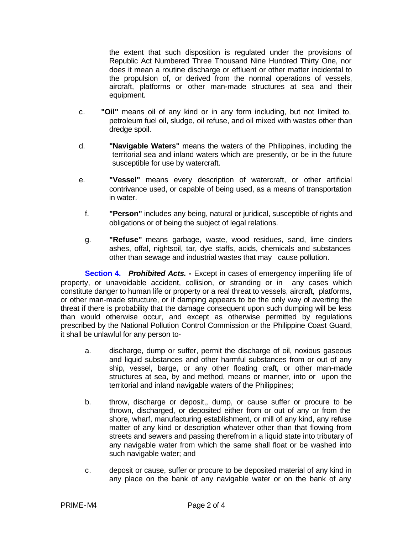the extent that such disposition is regulated under the provisions of Republic Act Numbered Three Thousand Nine Hundred Thirty One, nor does it mean a routine discharge or effluent or other matter incidental to the propulsion of, or derived from the normal operations of vessels, aircraft, platforms or other man-made structures at sea and their equipment.

- c. **"Oil"** means oil of any kind or in any form including, but not limited to, petroleum fuel oil, sludge, oil refuse, and oil mixed with wastes other than dredge spoil.
- d. **"Navigable Waters"** means the waters of the Philippines, including the territorial sea and inland waters which are presently, or be in the future susceptible for use by watercraft.
- e. **"Vessel"** means every description of watercraft, or other artificial contrivance used, or capable of being used, as a means of transportation in water.
	- f. **"Person"** includes any being, natural or juridical, susceptible of rights and obligations or of being the subject of legal relations.
	- g. **"Refuse"** means garbage, waste, wood residues, sand, lime cinders ashes, offal, nightsoil, tar, dye staffs, acids, chemicals and substances other than sewage and industrial wastes that may cause pollution.

**Section 4.** *Prohibited Acts.* **-** Except in cases of emergency imperiling life of property, or unavoidable accident, collision, or stranding or in any cases which constitute danger to human life or property or a real threat to vessels, aircraft, platforms, or other man-made structure, or if damping appears to be the only way of averting the threat if there is probability that the damage consequent upon such dumping will be less than would otherwise occur, and except as otherwise permitted by regulations prescribed by the National Pollution Control Commission or the Philippine Coast Guard, it shall be unlawful for any person to-

- a. discharge, dump or suffer, permit the discharge of oil, noxious gaseous and liquid substances and other harmful substances from or out of any ship, vessel, barge, or any other floating craft, or other man-made structures at sea, by and method, means or manner, into or upon the territorial and inland navigable waters of the Philippines;
- b. throw, discharge or deposit,, dump, or cause suffer or procure to be thrown, discharged, or deposited either from or out of any or from the shore, wharf, manufacturing establishment, or mill of any kind, any refuse matter of any kind or description whatever other than that flowing from streets and sewers and passing therefrom in a liquid state into tributary of any navigable water from which the same shall float or be washed into such navigable water; and
- c. deposit or cause, suffer or procure to be deposited material of any kind in any place on the bank of any navigable water or on the bank of any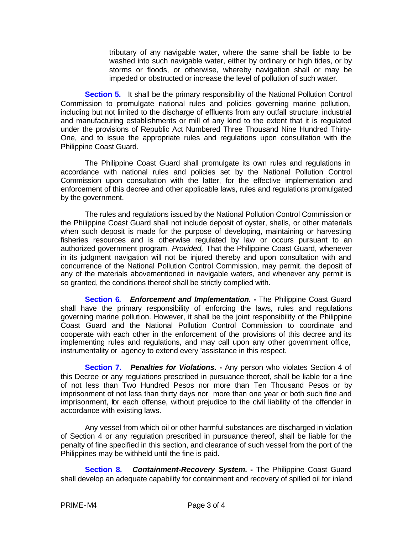tributary of any navigable water, where the same shall be liable to be washed into such navigable water, either by ordinary or high tides, or by storms or floods, or otherwise, whereby navigation shall or may be impeded or obstructed or increase the level of pollution of such water.

**Section 5.** It shall be the primary responsibility of the National Pollution Control Commission to promulgate national rules and policies governing marine pollution, including but not limited to the discharge of effluents from any outfall structure, industrial and manufacturing establishments or mill of any kind to the extent that it is regulated under the provisions of Republic Act Numbered Three Thousand Nine Hundred Thirty-One, and to issue the appropriate rules and regulations upon consultation with the Philippine Coast Guard.

The Philippine Coast Guard shall promulgate its own rules and regulations in accordance with national rules and policies set by the National Pollution Control Commission upon consultation with the latter, for the effective implementation and enforcement of this decree and other applicable laws, rules and regulations promulgated by the government.

The rules and regulations issued by the National Pollution Control Commission or the Philippine Coast Guard shall not include deposit of oyster, shells, or other materials when such deposit is made for the purpose of developing, maintaining or harvesting fisheries resources and is otherwise regulated by law or occurs pursuant to an authorized government program. *Provided,* That the Philippine Coast Guard, whenever in its judgment navigation will not be injured thereby and upon consultation with and concurrence of the National Pollution Control Commission, may permit. the deposit of any of the materials abovementioned in navigable waters, and whenever any permit is so granted, the conditions thereof shall be strictly complied with.

**Section 6***. Enforcement and Implementation.* **-** The Philippine Coast Guard shall have the primary responsibility of enforcing the laws, rules and regulations governing marine pollution. However, it shall be the joint responsibility of the Philippine Coast Guard and the National Pollution Control Commission to coordinate and cooperate with each other in the enforcement of the provisions of this decree and its implementing rules and regulations, and may call upon any other government office, instrumentality or agency to extend every 'assistance in this respect.

**Section 7.** *Penalties for Violations.* **-** Any person who violates Section 4 of this Decree or any regulations prescribed in pursuance thereof, shall be liable for a fine of not less than Two Hundred Pesos nor more than Ten Thousand Pesos or by imprisonment of not less than thirty days nor more than one year or both such fine and imprisonment, for each offense, without prejudice to the civil liability of the offender in accordance with existing laws.

Any vessel from which oil or other harmful substances are discharged in violation of Section 4 or any regulation prescribed in pursuance thereof, shall be liable for the penalty of fine specified in this section, and clearance of such vessel from the port of the Philippines may be withheld until the fine is paid.

**Section 8.** *Containment-Recovery System.* **-** The Philippine Coast Guard shall develop an adequate capability for containment and recovery of spilled oil for inland